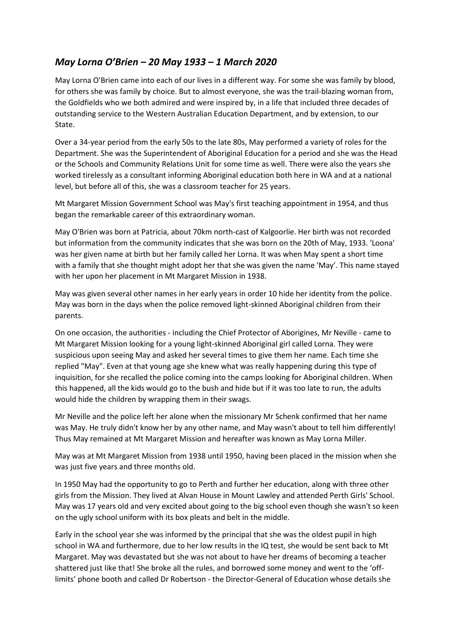## *May Lorna O'Brien – 20 May 1933 – 1 March 2020*

May Lorna O'Brien came into each of our lives in a different way. For some she was family by blood, for others she was family by choice. But to almost everyone, she was the trail-blazing woman from, the Goldfields who we both admired and were inspired by, in a life that included three decades of outstanding service to the Western Australian Education Department, and by extension, to our State.

Over a 34-year period from the early 50s to the late 80s, May performed a variety of roles for the Department. She was the Superintendent of Aboriginal Education for a period and she was the Head or the Schools and Community Relations Unit for some time as well. There were also the years she worked tirelessly as a consultant informing Aboriginal education both here in WA and at a national level, but before all of this, she was a classroom teacher for 25 years.

Mt Margaret Mission Government School was May's first teaching appointment in 1954, and thus began the remarkable career of this extraordinary woman.

May O'Brien was born at Patricia, about 70km north-cast of Kalgoorlie. Her birth was not recorded but information from the community indicates that she was born on the 20th of May, 1933. 'Loona' was her given name at birth but her family called her Lorna. It was when May spent a short time with a family that she thought might adopt her that she was given the name 'May'. This name stayed with her upon her placement in Mt Margaret Mission in 1938.

May was given several other names in her early years in order 10 hide her identity from the police. May was born in the days when the police removed light-skinned Aboriginal children from their parents.

On one occasion, the authorities - including the Chief Protector of Aborigines, Mr Neville - came to Mt Margaret Mission looking for a young light-skinned Aboriginal girl called Lorna. They were suspicious upon seeing May and asked her several times to give them her name. Each time she replied "May". Even at that young age she knew what was really happening during this type of inquisition, for she recalled the police coming into the camps looking for Aboriginal children. When this happened, all the kids would go to the bush and hide but if it was too late to run, the adults would hide the children by wrapping them in their swags.

Mr Neville and the police left her alone when the missionary Mr Schenk confirmed that her name was May. He truly didn't know her by any other name, and May wasn't about to tell him differently! Thus May remained at Mt Margaret Mission and hereafter was known as May Lorna Miller.

May was at Mt Margaret Mission from 1938 until 1950, having been placed in the mission when she was just five years and three months old.

In 1950 May had the opportunity to go to Perth and further her education, along with three other girls from the Mission. They lived at Alvan House in Mount Lawley and attended Perth Girls' School. May was 17 years old and very excited about going to the big school even though she wasn't so keen on the ugly school uniform with its box pleats and belt in the middle.

Early in the school year she was informed by the principal that she was the oldest pupil in high school in WA and furthermore, due to her low results in the IQ test, she would be sent back to Mt Margaret. May was devastated but she was not about to have her dreams of becoming a teacher shattered just like that! She broke all the rules, and borrowed some money and went to the 'offlimits' phone booth and called Dr Robertson - the Director-General of Education whose details she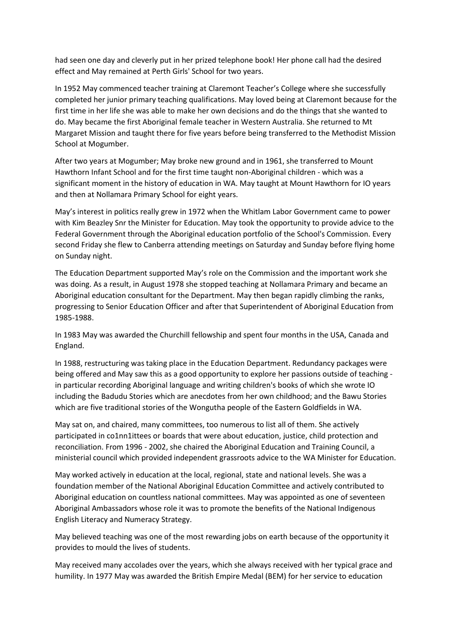had seen one day and cleverly put in her prized telephone book! Her phone call had the desired effect and May remained at Perth Girls' School for two years.

In 1952 May commenced teacher training at Claremont Teacher's College where she successfully completed her junior primary teaching qualifications. May loved being at Claremont because for the first time in her life she was able to make her own decisions and do the things that she wanted to do. May became the first Aboriginal female teacher in Western Australia. She returned to Mt Margaret Mission and taught there for five years before being transferred to the Methodist Mission School at Mogumber.

After two years at Mogumber; May broke new ground and in 1961, she transferred to Mount Hawthorn Infant School and for the first time taught non-Aboriginal children - which was a significant moment in the history of education in WA. May taught at Mount Hawthorn for IO years and then at Nollamara Primary School for eight years.

May's interest in politics really grew in 1972 when the Whitlam Labor Government came to power with Kim Beazley Snr the Minister for Education. May took the opportunity to provide advice to the Federal Government through the Aboriginal education portfolio of the School's Commission. Every second Friday she flew to Canberra attending meetings on Saturday and Sunday before flying home on Sunday night.

The Education Department supported May's role on the Commission and the important work she was doing. As a result, in August 1978 she stopped teaching at Nollamara Primary and became an Aboriginal education consultant for the Department. May then began rapidly climbing the ranks, progressing to Senior Education Officer and after that Superintendent of Aboriginal Education from 1985-1988.

In 1983 May was awarded the Churchill fellowship and spent four months in the USA, Canada and England.

In 1988, restructuring was taking place in the Education Department. Redundancy packages were being offered and May saw this as a good opportunity to explore her passions outside of teaching in particular recording Aboriginal language and writing children's books of which she wrote IO including the Badudu Stories which are anecdotes from her own childhood; and the Bawu Stories which are five traditional stories of the Wongutha people of the Eastern Goldfields in WA.

May sat on, and chaired, many committees, too numerous to list all of them. She actively participated in co1nn1ittees or boards that were about education, justice, child protection and reconciliation. From 1996 - 2002, she chaired the Aboriginal Education and Training Council, a ministerial council which provided independent grassroots advice to the WA Minister for Education.

May worked actively in education at the local, regional, state and national levels. She was a foundation member of the National Aboriginal Education Committee and actively contributed to Aboriginal education on countless national committees. May was appointed as one of seventeen Aboriginal Ambassadors whose role it was to promote the benefits of the National Indigenous English Literacy and Numeracy Strategy.

May believed teaching was one of the most rewarding jobs on earth because of the opportunity it provides to mould the lives of students.

May received many accolades over the years, which she always received with her typical grace and humility. In 1977 May was awarded the British Empire Medal (BEM) for her service to education